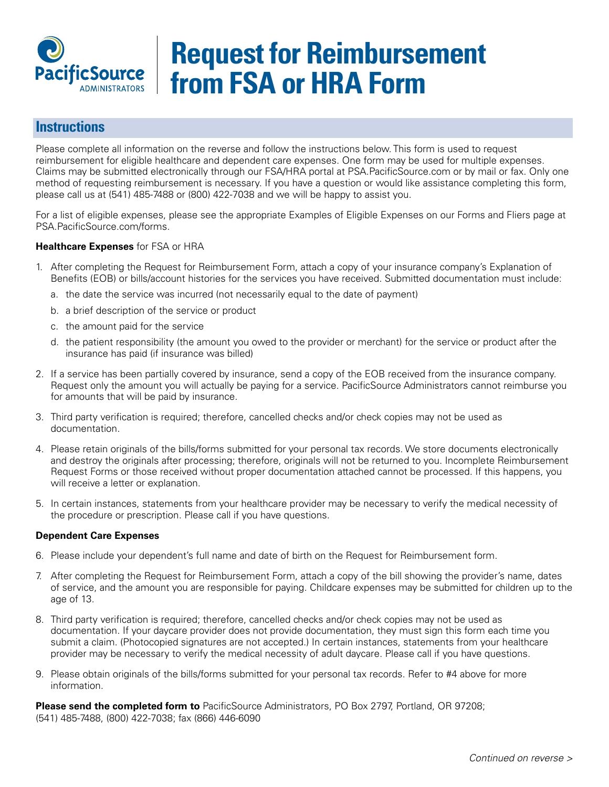

# **Request for Reimbursement from FSA or HRA Form**

### **Instructions**

Please complete all information on the reverse and follow the instructions below. This form is used to request reimbursement for eligible healthcare and dependent care expenses. One form may be used for multiple expenses. Claims may be submitted electronically through our FSA/HRA portal at PSA.PacificSource.com or by mail or fax. Only one method of requesting reimbursement is necessary. If you have a question or would like assistance completing this form, please call us at (541) 485-7488 or (800) 422-7038 and we will be happy to assist you.

For a list of eligible expenses, please see the appropriate Examples of Eligible Expenses on our Forms and Fliers page at PSA.PacificSource.com/forms.

#### **Healthcare Expenses** for FSA or HRA

- 1. After completing the Request for Reimbursement Form, attach a copy of your insurance company's Explanation of Benefits (EOB) or bills/account histories for the services you have received. Submitted documentation must include:
	- a. the date the service was incurred (not necessarily equal to the date of payment)
	- b. a brief description of the service or product
	- c. the amount paid for the service
	- d. the patient responsibility (the amount you owed to the provider or merchant) for the service or product after the insurance has paid (if insurance was billed)
- 2. If a service has been partially covered by insurance, send a copy of the EOB received from the insurance company. Request only the amount you will actually be paying for a service. PacificSource Administrators cannot reimburse you for amounts that will be paid by insurance.
- 3. Third party verification is required; therefore, cancelled checks and/or check copies may not be used as documentation.
- 4. Please retain originals of the bills/forms submitted for your personal tax records. We store documents electronically and destroy the originals after processing; therefore, originals will not be returned to you. Incomplete Reimbursement Request Forms or those received without proper documentation attached cannot be processed. If this happens, you will receive a letter or explanation.
- 5. In certain instances, statements from your healthcare provider may be necessary to verify the medical necessity of the procedure or prescription. Please call if you have questions.

#### **Dependent Care Expenses**

- 6. Please include your dependent's full name and date of birth on the Request for Reimbursement form.
- 7. After completing the Request for Reimbursement Form, attach a copy of the bill showing the provider's name, dates of service, and the amount you are responsible for paying. Childcare expenses may be submitted for children up to the age of 13.
- 8. Third party verification is required; therefore, cancelled checks and/or check copies may not be used as documentation. If your daycare provider does not provide documentation, they must sign this form each time you submit a claim. (Photocopied signatures are not accepted.) In certain instances, statements from your healthcare provider may be necessary to verify the medical necessity of adult daycare. Please call if you have questions.
- 9. Please obtain originals of the bills/forms submitted for your personal tax records. Refer to #4 above for more information.

**Please send the completed form to** PacificSource Administrators, PO Box 2797, Portland, OR 97208; (541) 485-7488, (800) 422-7038; fax (866) 446-6090